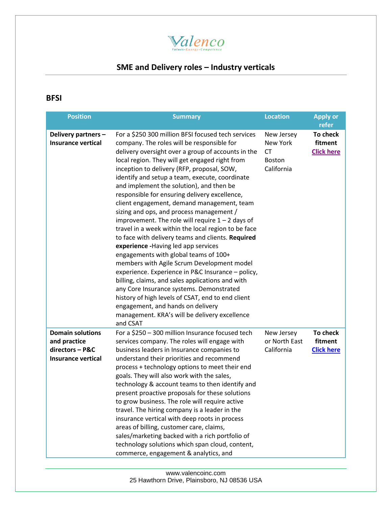

## **SME and Delivery roles – Industry verticals**

## **BFSI**

| <b>Position</b>                                                                         | <b>Summary</b>                                                                                                                                                                                                                                                                                                                                                                                                                                                                                                                                                                                                                                                                                                                                                                                                                                                                                                                                                                                                                                                                                               | <b>Location</b>                                                    | <b>Apply or</b><br>refer                 |
|-----------------------------------------------------------------------------------------|--------------------------------------------------------------------------------------------------------------------------------------------------------------------------------------------------------------------------------------------------------------------------------------------------------------------------------------------------------------------------------------------------------------------------------------------------------------------------------------------------------------------------------------------------------------------------------------------------------------------------------------------------------------------------------------------------------------------------------------------------------------------------------------------------------------------------------------------------------------------------------------------------------------------------------------------------------------------------------------------------------------------------------------------------------------------------------------------------------------|--------------------------------------------------------------------|------------------------------------------|
| Delivery partners -<br><b>Insurance vertical</b>                                        | For a \$250 300 million BFSI focused tech services<br>company. The roles will be responsible for<br>delivery oversight over a group of accounts in the<br>local region. They will get engaged right from<br>inception to delivery (RFP, proposal, SOW,<br>identify and setup a team, execute, coordinate<br>and implement the solution), and then be<br>responsible for ensuring delivery excellence,<br>client engagement, demand management, team<br>sizing and ops, and process management /<br>improvement. The role will require $1 - 2$ days of<br>travel in a week within the local region to be face<br>to face with delivery teams and clients. Required<br>experience - Having led app services<br>engagements with global teams of 100+<br>members with Agile Scrum Development model<br>experience. Experience in P&C Insurance - policy,<br>billing, claims, and sales applications and with<br>any Core Insurance systems. Demonstrated<br>history of high levels of CSAT, end to end client<br>engagement, and hands on delivery<br>management. KRA's will be delivery excellence<br>and CSAT | New Jersey<br>New York<br><b>CT</b><br><b>Boston</b><br>California | To check<br>fitment<br><b>Click here</b> |
| <b>Domain solutions</b><br>and practice<br>directors - P&C<br><b>Insurance vertical</b> | For a \$250 - 300 million Insurance focused tech<br>services company. The roles will engage with<br>business leaders in Insurance companies to<br>understand their priorities and recommend<br>process + technology options to meet their end<br>goals. They will also work with the sales,<br>technology & account teams to then identify and<br>present proactive proposals for these solutions<br>to grow business. The role will require active<br>travel. The hiring company is a leader in the<br>insurance vertical with deep roots in process<br>areas of billing, customer care, claims,<br>sales/marketing backed with a rich portfolio of<br>technology solutions which span cloud, content,<br>commerce, engagement & analytics, and                                                                                                                                                                                                                                                                                                                                                             | New Jersey<br>or North East<br>California                          | To check<br>fitment<br><b>Click here</b> |